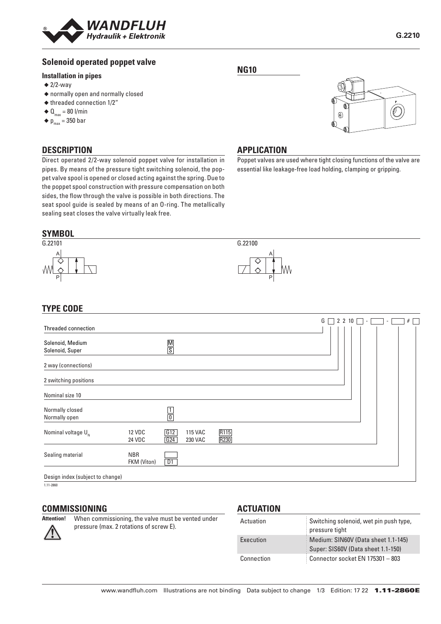

# **Solenoid operated poppet valve**

#### **Installation in pipes**

- $\triangleq$  2/2-way
- ◆ normally open and normally closed
- ◆ threaded connection 1/2"
- $\triangleleft \mathbf{Q}_{\text{max}} = 80 \text{ I/min}$
- $\blacklozenge p_{\text{max}} = 350$  bar

#### **DESCRIPTION**

Direct operated 2/2-way solenoid poppet valve for installation in pipes. By means of the pressure tight switching solenoid, the poppet valve spool is opened or closed acting against the spring. Due to the poppet spool construction with pressure compensation on both sides, the flow through the valve is possible in both directions. The seat spool guide is sealed by means of an O-ring. The metallically sealing seat closes the valve virtually leak free.

#### **NG10**



#### **APPLICATION**

Poppet valves are used where tight closing functions of the valve are essential like leakage-free load holding, clamping or gripping.

#### **SYMBOL** G.22101 A P G.22100 A P

# **TYPE CODE**

| Threaded connection                 |                                       |                                  |              |  | G | 2 2 10 | ۰. | $\sim$ | # |
|-------------------------------------|---------------------------------------|----------------------------------|--------------|--|---|--------|----|--------|---|
| Solenoid, Medium<br>Solenoid, Super | $\frac{\mathsf{M}}{\mathsf{S}}$       |                                  |              |  |   |        |    |        |   |
| 2 way (connections)                 |                                       |                                  |              |  |   |        |    |        |   |
| 2 switching positions               |                                       |                                  |              |  |   |        |    |        |   |
| Nominal size 10                     |                                       |                                  |              |  |   |        |    |        |   |
| Normally closed<br>Normally open    | $\frac{1}{0}$                         |                                  |              |  |   |        |    |        |   |
| Nominal voltage $U_{N}$             | G12<br><b>12 VDC</b><br>G24<br>24 VDC | <b>115 VAC</b><br><b>230 VAC</b> | R115<br>R230 |  |   |        |    |        |   |
| Sealing material                    | <b>NBR</b><br>D1<br>FKM (Viton)       |                                  |              |  |   |        |    |        |   |
| Design index (subject to change)    |                                       |                                  |              |  |   |        |    |        |   |

 $1.11 - 2860$ 

#### **COMMISSIONING**



**Attention!** When commissioning, the valve must be vented under pressure (max. 2 rotations of screw E).

#### **ACTUATION**

| Actuation  | Switching solenoid, wet pin push type,<br>pressure tight                  |
|------------|---------------------------------------------------------------------------|
| Execution  | Medium: SIN60V (Data sheet 1.1-145)<br>Super: SIS60V (Data sheet 1.1-150) |
| Connection | Connector socket EN 175301 - 803                                          |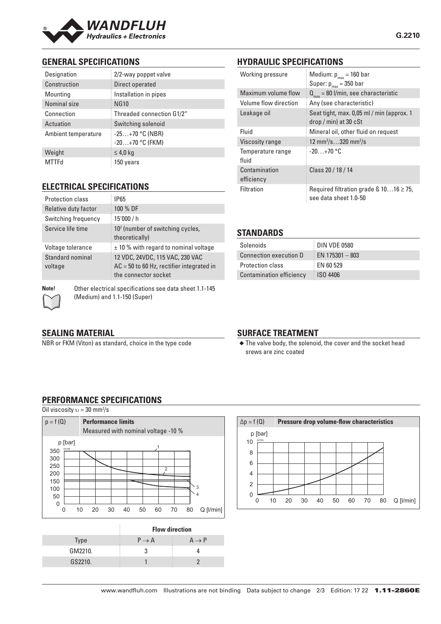

# **GENERAL SPECIFICATIONS**

| Designation         | 2/2-way poppet valve                   |  |  |
|---------------------|----------------------------------------|--|--|
| Construction        | Direct operated                        |  |  |
| Mounting            | Installation in pipes                  |  |  |
| Nominal size        | <b>NG10</b>                            |  |  |
| Connection          | Threaded connection G1/2"              |  |  |
| Actuation           | Switching solenoid                     |  |  |
| Ambient temperature | $-25+70$ °C (NBR)<br>$-20+70$ °C (FKM) |  |  |
| Weight              | $\leq 4.0$ kg                          |  |  |
| <b>MTTFd</b>        | 150 years                              |  |  |

# **ELECTRICAL SPECIFICATIONS**

| <b>Protection class</b>     | <b>IP65</b>                                                                                            |  |  |
|-----------------------------|--------------------------------------------------------------------------------------------------------|--|--|
| Relative duty factor        | 100 % DF                                                                                               |  |  |
| Switching frequency         | 15'000 / h                                                                                             |  |  |
| Service life time           | 10 <sup>7</sup> (number of switching cycles,<br>theoretically)                                         |  |  |
| Voltage tolerance           | $\pm$ 10 % with regard to nominal voltage                                                              |  |  |
| Standard nominal<br>voltage | 12 VDC, 24VDC, 115 VAC, 230 VAC<br>$AC = 50$ to 60 Hz, rectifier integrated in<br>the connector socket |  |  |

**Note!** Other electrical specifications see data sheet 1.1-145 (Medium) and 1.1-150 (Super)

# **HYDRAULIC SPECIFICATIONS**

| Working pressure            | Medium: $p_{max}$ = 160 bar<br>Super: $p_{max}$ = 350 bar                  |  |  |
|-----------------------------|----------------------------------------------------------------------------|--|--|
| Maximum volume flow         | $Q_{\text{max}}$ = 80 l/min, see characteristic                            |  |  |
| Volume flow direction       | Any (see characteristic)                                                   |  |  |
| Leakage oil                 | Seat tight, max. 0,05 ml / min (approx. 1<br>$drop / min)$ at 30 $cSt$     |  |  |
| Fluid                       | Mineral oil, other fluid on request                                        |  |  |
| Viscosity range             | 12 mm <sup>2</sup> /s320 mm <sup>2</sup> /s                                |  |  |
| Temperature range<br>fluid  | $-20+70$ °C                                                                |  |  |
| Contamination<br>efficiency | Class 20 / 18 / 14                                                         |  |  |
| Filtration                  | Required filtration grade $\beta$ 1016 $\geq$ 75,<br>see data sheet 1.0-50 |  |  |

# **STANDARDS**

| Solenoids                       | DIN VDE 0580      |
|---------------------------------|-------------------|
| Connection execution D          | EN $175301 - 803$ |
| <b>Protection class</b>         | EN 60 529         |
| <b>Contamination efficiency</b> | ISO 4406          |

# **SEALING MATERIAL**

NBR or FKM (Viton) as standard, choice in the type code

# **SURFACE TREATMENT**

◆ The valve body, the solenoid, the cover and the socket head srews are zinc coated

# **PERFORMANCE SPECIFICATIONS**

Oil viscosity  $v = 30$  mm<sup>2</sup>/s



|             | <b>Flow direction</b> |                   |  |
|-------------|-----------------------|-------------------|--|
| <b>Type</b> | $P \rightarrow A$     | $A \rightarrow P$ |  |
| GM2210.     |                       |                   |  |
| GS2210.     |                       |                   |  |